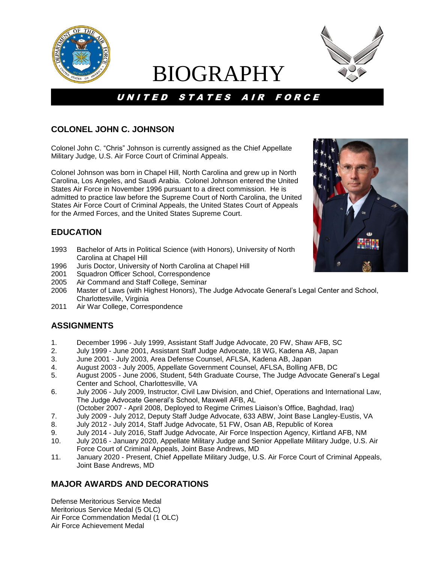

# BIOGRAPHY



## U N I T E D S T A T E S A I R F O R C E

### **COLONEL JOHN C. JOHNSON**

Colonel John C. "Chris" Johnson is currently assigned as the Chief Appellate Military Judge, U.S. Air Force Court of Criminal Appeals.

Colonel Johnson was born in Chapel Hill, North Carolina and grew up in North Carolina, Los Angeles, and Saudi Arabia. Colonel Johnson entered the United States Air Force in November 1996 pursuant to a direct commission. He is admitted to practice law before the Supreme Court of North Carolina, the United States Air Force Court of Criminal Appeals, the United States Court of Appeals for the Armed Forces, and the United States Supreme Court.

#### **EDUCATION**

- 1993 Bachelor of Arts in Political Science (with Honors), University of North Carolina at Chapel Hill
- 1996 Juris Doctor, University of North Carolina at Chapel Hill
- 2001 Squadron Officer School, Correspondence
- 2005 Air Command and Staff College, Seminar
- 2006 Master of Laws (with Highest Honors), The Judge Advocate General's Legal Center and School, Charlottesville, Virginia
- 2011 Air War College, Correspondence

#### **ASSIGNMENTS**

- 1. December 1996 July 1999, Assistant Staff Judge Advocate, 20 FW, Shaw AFB, SC
- 2. July 1999 June 2001, Assistant Staff Judge Advocate, 18 WG, Kadena AB, Japan
- 3. June 2001 July 2003, Area Defense Counsel, AFLSA, Kadena AB, Japan
- 4. August 2003 July 2005, Appellate Government Counsel, AFLSA, Bolling AFB, DC
- 5. August 2005 June 2006, Student, 54th Graduate Course, The Judge Advocate General's Legal Center and School, Charlottesville, VA
- 6. July 2006 July 2009, Instructor, Civil Law Division, and Chief, Operations and International Law, The Judge Advocate General's School, Maxwell AFB, AL
- (October 2007 April 2008, Deployed to Regime Crimes Liaison's Office, Baghdad, Iraq)
- 7. July 2009 July 2012, Deputy Staff Judge Advocate, 633 ABW, Joint Base Langley-Eustis, VA
- 8. July 2012 July 2014, Staff Judge Advocate, 51 FW, Osan AB, Republic of Korea
- 9. July 2014 July 2016, Staff Judge Advocate, Air Force Inspection Agency, Kirtland AFB, NM
- 10. July 2016 January 2020, Appellate Military Judge and Senior Appellate Military Judge, U.S. Air Force Court of Criminal Appeals, Joint Base Andrews, MD
- 11. January 2020 Present, Chief Appellate Military Judge, U.S. Air Force Court of Criminal Appeals, Joint Base Andrews, MD

#### **MAJOR AWARDS AND DECORATIONS**

Defense Meritorious Service Medal Meritorious Service Medal (5 OLC) Air Force Commendation Medal (1 OLC) Air Force Achievement Medal